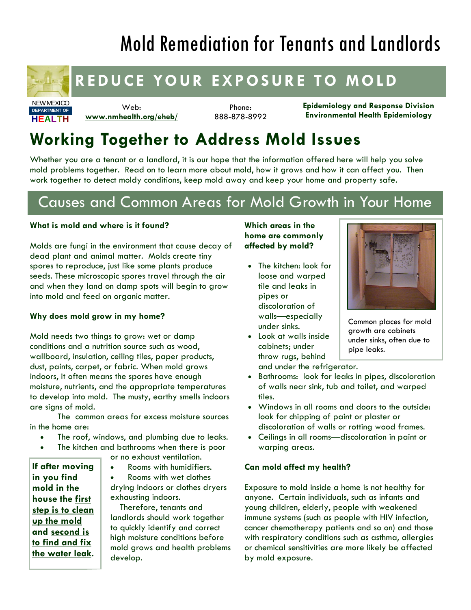# Mold Remediation for Tenants and Landlords



NEW MEXICO **HEALTH DEPARTMENT OF**

### **REDUCE YOUR EXPOSURE TO MOLD**

Web: **www.nmhealth.org/eheb/**

Phone: 888-878-8992 **Epidemiology and Response Division Environmental Health Epidemiology** 

## **Working Together to Address Mold Issues**

Whether you are a tenant or a landlord, it is our hope that the information offered here will help you solve mold problems together. Read on to learn more about mold, how it grows and how it can affect you. Then work together to detect moldy conditions, keep mold away and keep your home and property safe.

### Causes and Common Areas for Mold Growth in Your Home

#### **What is mold and where is it found?**

Molds are fungi in the environment that cause decay of dead plant and animal matter. Molds create tiny spores to reproduce, just like some plants produce seeds. These microscopic spores travel through the air and when they land on damp spots will begin to grow into mold and feed on organic matter.

#### **Why does mold grow in my home?**

Mold needs two things to grow: wet or damp conditions and a nutrition source such as wood, wallboard, insulation, ceiling tiles, paper products, dust, paints, carpet, or fabric*.* When mold grows indoors, it often means the spores have enough moisture, nutrients, and the appropriate temperatures to develop into mold. The musty, earthy smells indoors are signs of mold.

 The common areas for excess moisture sources in the home are:

- The roof, windows, and plumbing due to leaks.
- The kitchen and bathrooms when there is poor
	- or no exhaust ventilation.

**If after moving in you find mold in the house the first step is to clean up the mold and second is to find and fix the water leak.**  • Rooms with humidifiers.

• Rooms with wet clothes drying indoors or clothes dryers exhausting indoors.

 Therefore, tenants and landlords should work together to quickly identify and correct high moisture conditions before mold grows and health problems develop.

#### **Which areas in the home are commonly affected by mold?**

- The kitchen: look for loose and warped tile and leaks in pipes or discoloration of walls—especially under sinks.
- Look at walls inside cabinets; under throw rugs, behind



Common places for mold growth are cabinets under sinks, often due to pipe leaks.

and under the refrigerator.

- Bathrooms: look for leaks in pipes, discoloration of walls near sink, tub and toilet, and warped tiles.
- Windows in all rooms and doors to the outside: look for chipping of paint or plaster or discoloration of walls or rotting wood frames.
- Ceilings in all rooms—discoloration in paint or warping areas.

#### **Can mold affect my health?**

Exposure to mold inside a home is not healthy for anyone. Certain individuals, such as infants and young children, elderly, people with weakened immune systems (such as people with HIV infection, cancer chemotherapy patients and so on) and those with respiratory conditions such as asthma, allergies or chemical sensitivities are more likely be affected by mold exposure.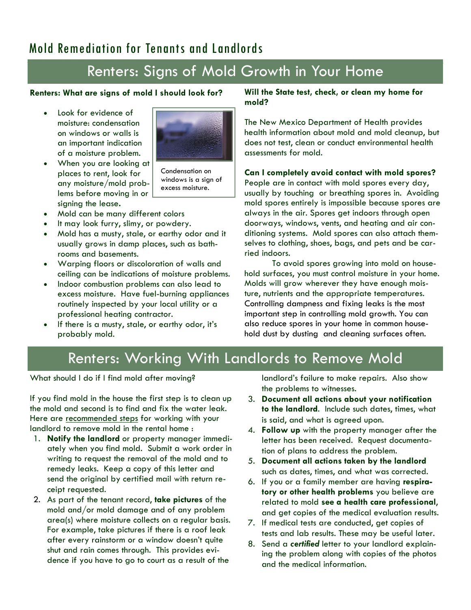### Mold Remediation for Tenants and Landlords

### Renters: Signs of Mold Growth in Your Home

#### **Renters: What are signs of mold I should look for?**

Look for evidence of moisture: condensation on windows or walls is an important indication of a moisture problem.



• When you are looking at places to rent, look for any moisture/mold problems before moving in or signing the lease**.** 

Condensation on windows is a sign of excess moisture.

- Mold can be many different colors
- It may look furry, slimy, or powdery.
- Mold has a musty, stale, or earthy odor and it usually grows in damp places, such as bathrooms and basements.
- Warping floors or discoloration of walls and ceiling can be indications of moisture problems.
- Indoor combustion problems can also lead to excess moisture. Have fuel-burning appliances routinely inspected by your local utility or a professional heating contractor.
- If there is a musty, stale, or earthy odor, it's probably mold.

#### **Will the State test, check, or clean my home for mold?**

The New Mexico Department of Health provides health information about mold and mold cleanup, but does not test, clean or conduct environmental health assessments for mold.

#### **Can I completely avoid contact with mold spores?**

People are in contact with mold spores every day, usually by touching or breathing spores in. Avoiding mold spores entirely is impossible because spores are always in the air. Spores get indoors through open doorways, windows, vents, and heating and air conditioning systems. Mold spores can also attach themselves to clothing, shoes, bags, and pets and be carried indoors.

 To avoid spores growing into mold on household surfaces, you must control moisture in your home. Molds will grow wherever they have enough moisture, nutrients and the appropriate temperatures. Controlling dampness and fixing leaks is the most important step in controlling mold growth. You can also reduce spores in your home in common household dust by dusting and cleaning surfaces often.

### Renters: Working With Landlords to Remove Mold

What should I do if I find mold after moving?

If you find mold in the house the first step is to clean up the mold and second is to find and fix the water leak. Here are recommended steps for working with your landlord to remove mold in the rental home :

- 1. **Notify the landlord** or property manager immediately when you find mold. Submit a work order in writing to request the removal of the mold and to remedy leaks. Keep a copy of this letter and send the original by certified mail with return receipt requested.
- 2. As part of the tenant record, **take pictures** of the mold and/or mold damage and of any problem area(s) where moisture collects on a regular basis. For example, take pictures if there is a roof leak after every rainstorm or a window doesn't quite shut and rain comes through. This provides evidence if you have to go to court as a result of the

landlord's failure to make repairs. Also show the problems to witnesses.

- 3. **Document all actions about your notification to the landlord**. Include such dates, times, what is said, and what is agreed upon.
- 4. **Follow up** with the property manager after the letter has been received. Request documentation of plans to address the problem.
- 5. **Document all actions taken by the landlord** such as dates, times, and what was corrected.
- 6. If you or a family member are having **respiratory or other health problems** you believe are related to mold **see a health care professional**, and get copies of the medical evaluation results.
- 7. If medical tests are conducted, get copies of tests and lab results. These may be useful later.
- 8. Send a *certified* letter to your landlord explaining the problem along with copies of the photos and the medical information.